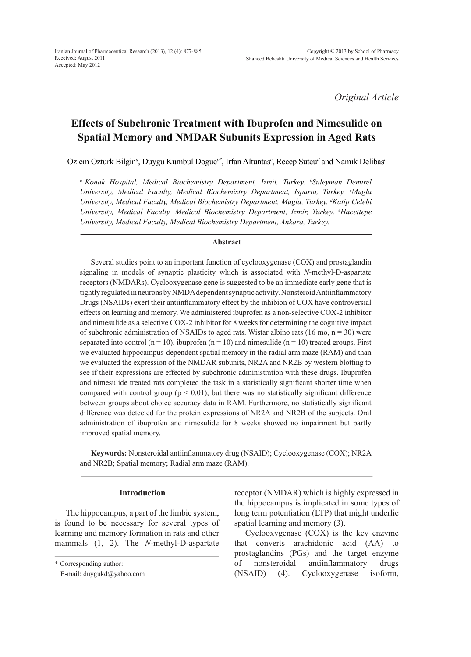*Original Article*

# **Effects of Subchronic Treatment with Ibuprofen and Nimesulide on Spatial Memory and NMDAR Subunits Expression in Aged Rats**

Ozlem Ozturk Bilgin*<sup>a</sup>* , Duygu Kumbul Doguc*b\**, Irfan Altuntas*<sup>c</sup>* , Recep Sutcu*<sup>d</sup>* and Namık Delibas*<sup>e</sup>*

<sup>a</sup> Konak Hospital, Medical Biochemistry Department, Izmit, Turkey. <sup>b</sup>Suleyman Demirel University, Medical Faculty, Medical Biochemistry Department, Isparta, Turkey. <sup>c</sup>Mugla *University, Medical Faculty, Medical Biochemistry Department, Mugla, Turkey. d Katip Celebi University, Medical Faculty, Medical Biochemistry Department, İzmir, Turkey. <sup>e</sup> Hacettepe University, Medical Faculty, Medical Biochemistry Department, Ankara, Turkey.* 

#### **Abstract**

Several studies point to an important function of cyclooxygenase (COX) and prostaglandin signaling in models of synaptic plasticity which is associated with *N*-methyl-D-aspartate receptors (NMDARs). Cyclooxygenase gene is suggested to be an immediate early gene that is tightly regulated in neurons by NMDA dependent synaptic activity. Nonsteroid Antiinflammatory Drugs (NSAIDs) exert their antiinflammatory effect by the inhibion of COX have controversial effects on learning and memory. We administered ibuprofen as a non-selective COX-2 inhibitor and nimesulide as a selective COX-2 inhibitor for 8 weeks for determining the cognitive impact of subchronic administration of NSAIDs to aged rats. Wistar albino rats (16 mo,  $n = 30$ ) were separated into control ( $n = 10$ ), ibuprofen ( $n = 10$ ) and nimesulide ( $n = 10$ ) treated groups. First we evaluated hippocampus-dependent spatial memory in the radial arm maze (RAM) and than we evaluated the expression of the NMDAR subunits, NR2A and NR2B by western blotting to see if their expressions are effected by subchronic administration with these drugs. Ibuprofen and nimesulide treated rats completed the task in a statistically significant shorter time when compared with control group ( $p < 0.01$ ), but there was no statistically significant difference between groups about choice accuracy data in RAM. Furthermore, no statistically significant difference was detected for the protein expressions of NR2A and NR2B of the subjects. Oral administration of ibuprofen and nimesulide for 8 weeks showed no impairment but partly improved spatial memory.

**Keywords:** Nonsteroidal antiinflammatory drug (NSAID); Cyclooxygenase (COX); NR2A and NR2B; Spatial memory; Radial arm maze (RAM).

### **Introduction**

The hippocampus, a part of the limbic system, is found to be necessary for several types of learning and memory formation in rats and other mammals (1, 2). The *N*-methyl-D-aspartate receptor (NMDAR) which is highly expressed in the hippocampus is implicated in some types of long term potentiation (LTP) that might underlie spatial learning and memory (3).

Cyclooxygenase (COX) is the key enzyme that converts arachidonic acid (AA) to prostaglandins (PGs) and the target enzyme of nonsteroidal antiinflammatory drugs (NSAID) (4). Cyclooxygenase isoform,

<sup>\*</sup> Corresponding author:

E-mail: duygukd@yahoo.com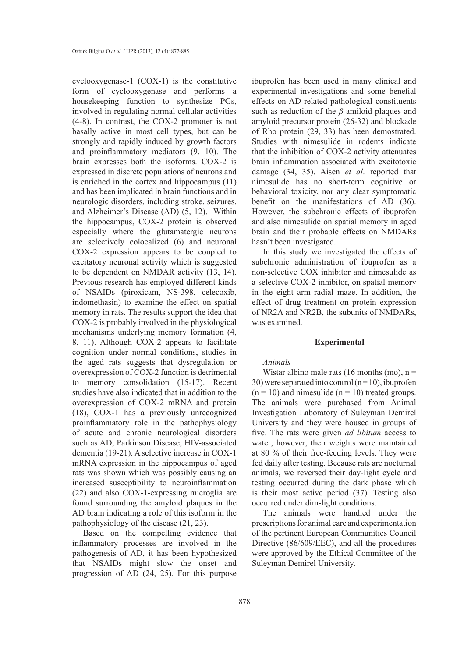cyclooxygenase-1 (COX-1) is the constitutive form of cyclooxygenase and performs a housekeeping function to synthesize PGs, involved in regulating normal cellular activities (4-8). In contrast, the COX-2 promoter is not basally active in most cell types, but can be strongly and rapidly induced by growth factors and proinflammatory mediators (9, 10). The brain expresses both the isoforms. COX-2 is expressed in discrete populations of neurons and is enriched in the cortex and hippocampus (11) and has been implicated in brain functions and in neurologic disorders, including stroke, seizures, and Alzheimer's Disease (AD) (5, 12).Within the hippocampus, COX-2 protein is observed especially where the glutamatergic neurons are selectively colocalized (6) and neuronal COX-2 expression appears to be coupled to excitatory neuronal activity which is suggested to be dependent on NMDAR activity (13, 14). Previous research has employed different kinds of NSAIDs (piroxicam, NS-398, celecoxib, indomethasin) to examine the effect on spatial memory in rats. The results support the idea that COX-2 is probably involved in the physiological mechanisms underlying memory formation (4, 8, 11). Although COX-2 appears to facilitate cognition under normal conditions, studies in the aged rats suggests that dysregulation or overexpression of COX-2 function is detrimental to memory consolidation (15-17). Recent studies have also indicated that in addition to the overexpression of COX-2 mRNA and protein (18), COX-1 has a previously unrecognized proinflammatory role in the pathophysiology of acute and chronic neurological disorders such as AD, Parkinson Disease, HIV-associated dementia (19-21). A selective increase in COX-1 mRNA expression in the hippocampus of aged rats was shown which was possibly causing an increased susceptibility to neuroinflammation (22) and also COX-1-expressing microglia are found surrounding the amyloid plaques in the AD brain indicating a role of this isoform in the pathophysiology of the disease (21, 23).

Based on the compelling evidence that inflammatory processes are involved in the pathogenesis of AD, it has been hypothesized that NSAIDs might slow the onset and progression of AD (24, 25). For this purpose

ibuprofen has been used in many clinical and experimental investigations and some benefial effects on AD related pathological constituents such as reduction of the *β* amiloid plaques and amyloid precursor protein (26-32) and blockade of Rho protein (29, 33) has been demostrated. Studies with nimesulide in rodents indicate that the inhibition of COX-2 activity attenuates brain inflammation associated with excitotoxic damage (34, 35). Aisen *et al*. reported that nimesulide has no short-term cognitive or behavioral toxicity, nor any clear symptomatic benefit on the manifestations of AD (36). However, the subchronic effects of ibuprofen and also nimesulide on spatial memory in aged brain and their probable effects on NMDARs hasn't been investigated.

In this study we investigated the effects of subchronic administration of ibuprofen as a non-selective COX inhibitor and nimesulide as a selective COX-2 inhibitor, on spatial memory in the eight arm radial maze. In addition, the effect of drug treatment on protein expression of NR2A and NR2B, the subunits of NMDARs, was examined.

#### **Experimental**

## *Animals*

Wistar albino male rats (16 months (mo),  $n =$ 30) were separated into control  $(n=10)$ , ibuprofen  $(n = 10)$  and nimesulide  $(n = 10)$  treated groups. The animals were purchased from Animal Investigation Laboratory of Suleyman Demirel University and they were housed in groups of five. The rats were given *ad libitum* access to water; however, their weights were maintained at 80 % of their free-feeding levels. They were fed daily after testing. Because rats are nocturnal animals, we reversed their day-light cycle and testing occurred during the dark phase which is their most active period (37). Testing also occurred under dim-light conditions.

The animals were handled under the prescriptions for animal care and experimentation of the pertinent European Communities Council Directive (86/609/EEC), and all the procedures were approved by the Ethical Committee of the Suleyman Demirel University.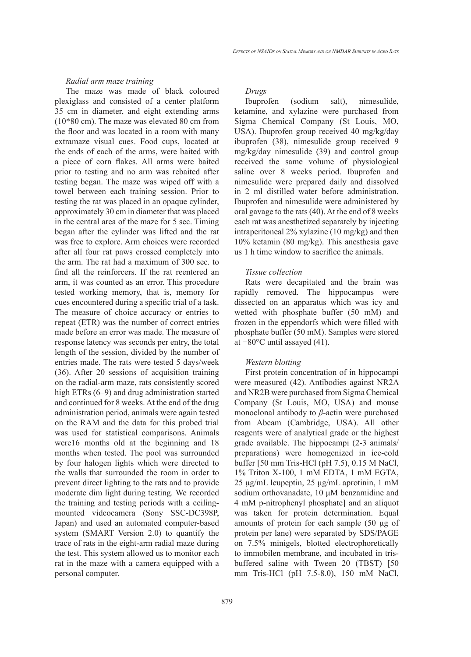#### *Radial arm maze training*

The maze was made of black coloured plexiglass and consisted of a center platform 35 cm in diameter, and eight extending arms (10\*80 cm). The maze was elevated 80 cm from the floor and was located in a room with many extramaze visual cues. Food cups, located at the ends of each of the arms, were baited with a piece of corn flakes. All arms were baited prior to testing and no arm was rebaited after testing began. The maze was wiped off with a towel between each training session. Prior to testing the rat was placed in an opaque cylinder, approximately 30 cm in diameter that was placed in the central area of the maze for 5 sec. Timing began after the cylinder was lifted and the rat was free to explore. Arm choices were recorded after all four rat paws crossed completely into the arm. The rat had a maximum of 300 sec. to find all the reinforcers. If the rat reentered an arm, it was counted as an error. This procedure tested working memory, that is, memory for cues encountered during a specific trial of a task. The measure of choice accuracy or entries to repeat (ETR) was the number of correct entries made before an error was made. The measure of response latency was seconds per entry, the total length of the session, divided by the number of entries made. The rats were tested 5 days/week (36). After 20 sessions of acquisition training on the radial-arm maze, rats consistently scored high ETRs (6–9) and drug administration started and continued for 8 weeks. At the end of the drug administration period, animals were again tested on the RAM and the data for this probed trial was used for statistical comparisons. Animals were16 months old at the beginning and 18 months when tested. The pool was surrounded by four halogen lights which were directed to the walls that surrounded the room in order to prevent direct lighting to the rats and to provide moderate dim light during testing. We recorded the training and testing periods with a ceilingmounted videocamera (Sony SSC-DC398P, Japan) and used an automated computer-based system (SMART Version 2.0) to quantify the trace of rats in the eight-arm radial maze during the test. This system allowed us to monitor each rat in the maze with a camera equipped with a personal computer.

#### *Drugs*

Ibuprofen (sodium salt), nimesulide, ketamine, and xylazine were purchased from Sigma Chemical Company (St Louis, MO, USA). Ibuprofen group received 40 mg/kg/day ibuprofen (38), nimesulide group received 9 mg/kg/day nimesulide (39) and control group received the same volume of physiological saline over 8 weeks period. Ibuprofen and nimesulide were prepared daily and dissolved in 2 ml distilled water before administration. Ibuprofen and nimesulide were administered by oral gavage to the rats (40). At the end of 8 weeks each rat was anesthetized separately by injecting intraperitoneal 2% xylazine (10 mg/kg) and then 10% ketamin (80 mg/kg). This anesthesia gave us 1 h time window to sacrifice the animals.

#### *Tissue collection*

Rats were decapitated and the brain was rapidly removed. The hippocampus were dissected on an apparatus which was icy and wetted with phosphate buffer (50 mM) and frozen in the eppendorfs which were filled with phosphate buffer (50 mM). Samples were stored at −80°C until assayed (41).

#### *Western blotting*

First protein concentration of in hippocampi were measured (42). Antibodies against NR2A and NR2B were purchased from Sigma Chemical Company (St Louis, MO, USA) and mouse monoclonal antibody to *β*-actin were purchased from Abcam (Cambridge, USA). All other reagents were of analytical grade or the highest grade available. The hippocampi (2-3 animals/ preparations) were homogenized in ice-cold buffer [50 mm Tris-HCl (pH 7.5), 0.15 M NaCl, 1% Triton X-100, 1 mM EDTA, 1 mM EGTA, 25 μg/mL leupeptin, 25 μg/mL aprotinin, 1 mM sodium orthovanadate, 10 μM benzamidine and 4 mM p-nitrophenyl phosphate] and an aliquot was taken for protein determination. Equal amounts of protein for each sample (50 μg of protein per lane) were separated by SDS/PAGE on 7.5% minigels, blotted electrophoretically to immobilen membrane, and incubated in trisbuffered saline with Tween 20 (TBST) [50 mm Tris-HCl (pH 7.5-8.0), 150 mM NaCl,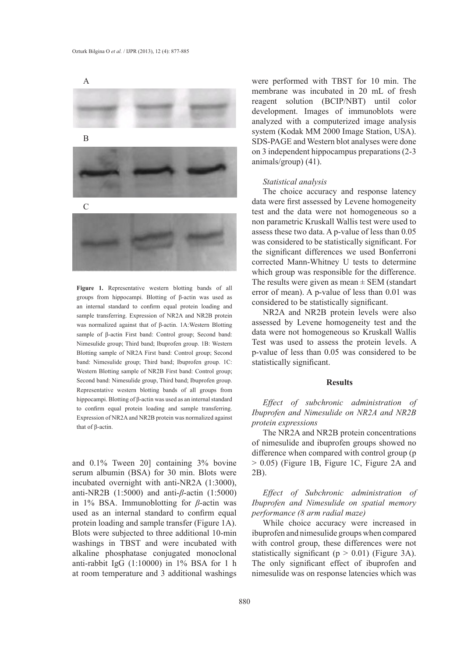

**Figure 1.** Representative western blotting bands of all groups from hippocampi. Blotting of β-actin was used as an internal standard to confirm equal protein loading and sample transferring. Expression of NR2A and NR2B protein was normalized against that of β-actin. 1A:Western Blotting sample of β-actin First band: Control group; Second band: Nimesulide group; Third band; Ibuprofen group. 1B: Western Blotting sample of NR2A First band: Control group; Second band: Nimesulide group; Third band; Ibuprofen group. 1C: Western Blotting sample of NR2B First band: Control group; Second band: Nimesulide group, Third band; Ibuprofen group. Representative western blotting bands of all groups from hippocampi. Blotting of β-actin was used as an internal standard to confirm equal protein loading and sample transferring. Expression of NR2A and NR2B protein was normalized against that of β-actin.

and 0.1% Tween 20] containing 3% bovine serum albumin (BSA) for 30 min. Blots were incubated overnight with anti-NR2A (1:3000), anti-NR2B (1:5000) and anti-*β*-actin (1:5000) in 1% BSA. Immunoblotting for *β*-actin was used as an internal standard to confirm equal protein loading and sample transfer (Figure 1A). Blots were subjected to three additional 10-min washings in TBST and were incubated with alkaline phosphatase conjugated monoclonal anti-rabbit IgG (1:10000) in 1% BSA for 1 h at room temperature and 3 additional washings

were performed with TBST for 10 min. The membrane was incubated in 20 mL of fresh reagent solution (BCIP/NBT) until color development. Images of immunoblots were analyzed with a computerized image analysis system (Kodak MM 2000 Image Station, USA). SDS-PAGE and Western blot analyses were done on 3 independent hippocampus preparations (2-3 animals/group) (41).

#### *Statistical analysis*

The choice accuracy and response latency data were first assessed by Levene homogeneity test and the data were not homogeneous so a non parametric Kruskall Wallis test were used to assess these two data. A p-value of less than 0.05 was considered to be statistically significant. For the significant differences we used Bonferroni corrected Mann-Whitney U tests to determine which group was responsible for the difference. The results were given as mean  $\pm$  SEM (standart error of mean). A p-value of less than 0.01 was considered to be statistically significant.

NR2A and NR2B protein levels were also assessed by Levene homogeneity test and the data were not homogeneous so Kruskall Wallis Test was used to assess the protein levels. A p-value of less than 0.05 was considered to be statistically significant.

#### **Results**

*Effect of subchronic administration of Ibuprofen and Nimesulide on NR2A and NR2B protein expressions*

The NR2A and NR2B protein concentrations of nimesulide and ibuprofen groups showed no difference when compared with control group (p > 0.05) (Figure 1B, Figure 1C, Figure 2A and 2B).

# *Effect of Subchronic administration of Ibuprofen and Nimesulide on spatial memory performance (8 arm radial maze)*

While choice accuracy were increased in ibuprofen and nimesulide groups when compared with control group, these differences were not statistically significant ( $p > 0.01$ ) (Figure 3A). The only significant effect of ibuprofen and nimesulide was on response latencies which was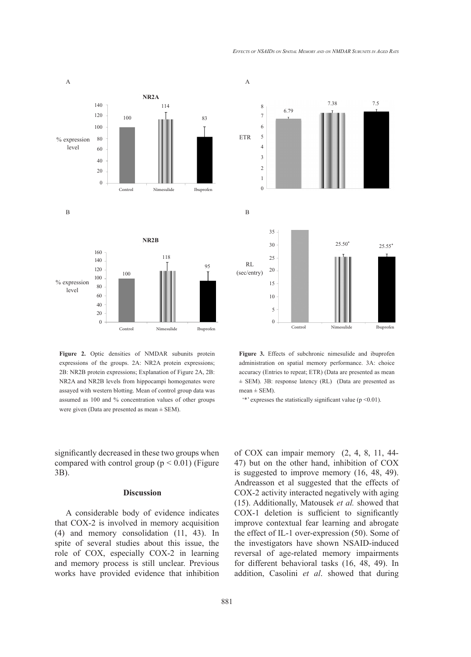A



**Figure 2.** Optic densities of NMDAR subunits protein expressions of the groups. 2A: NR2A protein expressions; 2B: NR2B protein expressions; Explanation of Figure 2A, 2B: NR2A and NR2B levels from hippocampi homogenates were assayed with western blotting. Mean of control group data was assumed as 100 and % concentration values of other groups were given (Data are presented as mean ± SEM).

significantly decreased in these two groups when compared with control group  $(p < 0.01)$  (Figure 3B).

# **Discussion**

A considerable body of evidence indicates that COX-2 is involved in memory acquisition (4) and memory consolidation (11, 43). In spite of several studies about this issue, the role of COX, especially COX-2 in learning and memory process is still unclear. Previous works have provided evidence that inhibition



**Figure 3.** Effects of subchronic nimesulide and ibuprofen administration on spatial memory performance. 3A: choice accuracy (Entries to repeat; ETR) (Data are presented as mean ± SEM). 3B: response latency (RL) (Data are presented as  $mean \pm SEM$ ).

 $\cdot^*$  expresses the statistically significant value (p <0.01).

of COX can impair memory (2, 4, 8, 11, 44- 47) but on the other hand, inhibition of COX is suggested to improve memory (16, 48, 49). Andreasson et al suggested that the effects of COX-2 activity interacted negatively with aging (15). Additionally, Matousek *et al.* showed that COX-1 deletion is sufficient to significantly improve contextual fear learning and abrogate the effect of IL-1 over-expression (50). Some of the investigators have shown NSAID-induced reversal of age-related memory impairments for different behavioral tasks (16, 48, 49). In addition, Casolini *et al*. showed that during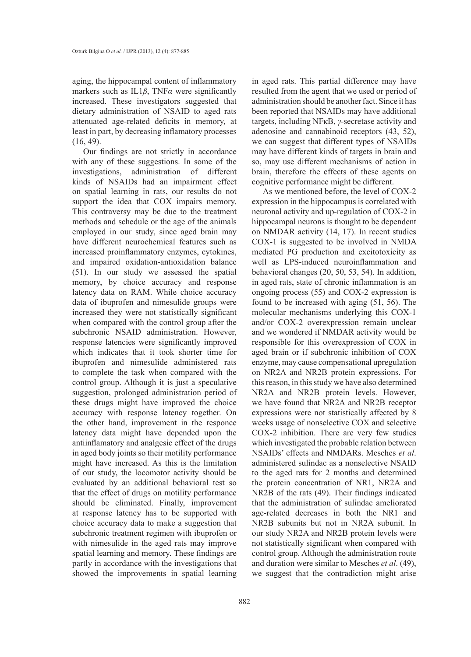aging, the hippocampal content of inflammatory markers such as IL1*β*, TNF*α* were significantly increased. These investigators suggested that dietary administration of NSAID to aged rats attenuated age-related deficits in memory, at least in part, by decreasing inflamatory processes  $(16, 49)$ .

Our findings are not strictly in accordance with any of these suggestions. In some of the investigations, administration of different kinds of NSAIDs had an impairment effect on spatial learning in rats, our results do not support the idea that COX impairs memory. This contraversy may be due to the treatment methods and schedule or the age of the animals employed in our study, since aged brain may have different neurochemical features such as increased proinflammatory enzymes, cytokines, and impaired oxidation-antioxidation balance (51). In our study we assessed the spatial memory, by choice accuracy and response latency data on RAM. While choice accuracy data of ibuprofen and nimesulide groups were increased they were not statistically significant when compared with the control group after the subchronic NSAID administration. However, response latencies were significantly improved which indicates that it took shorter time for ibuprofen and nimesulide administered rats to complete the task when compared with the control group. Although it is just a speculative suggestion, prolonged administration period of these drugs might have improved the choice accuracy with response latency together. On the other hand, improvement in the responce latency data might have depended upon the antiinflamatory and analgesic effect of the drugs in aged body joints so their motility performance might have increased. As this is the limitation of our study, the locomotor activity should be evaluated by an additional behavioral test so that the effect of drugs on motility performance should be eliminated. Finally, improvement at response latency has to be supported with choice accuracy data to make a suggestion that subchronic treatment regimen with ibuprofen or with nimesulide in the aged rats may improve spatial learning and memory. These findings are partly in accordance with the investigations that showed the improvements in spatial learning in aged rats. This partial difference may have resulted from the agent that we used or period of administration should be another fact. Since it has been reported that NSAIDs may have additional targets, including NFκB, *γ*-secretase activity and adenosine and cannabinoid receptors (43, 52), we can suggest that different types of NSAIDs may have different kinds of targets in brain and so, may use different mechanisms of action in brain, therefore the effects of these agents on cognitive performance might be different.

As we mentioned before, the level of COX-2 expression in the hippocampus is correlated with neuronal activity and up-regulation of COX-2 in hippocampal neurons is thought to be dependent on NMDAR activity (14, 17). In recent studies COX-1 is suggested to be involved in NMDA mediated PG production and excitotoxicity as well as LPS-induced neuroinflammation and behavioral changes (20, 50, 53, 54). In addition, in aged rats, state of chronic inflammation is an ongoing process (55) and COX-2 expression is found to be increased with aging (51, 56). The molecular mechanisms underlying this COX-1 and/or COX-2 overexpression remain unclear and we wondered if NMDAR activity would be responsible for this overexpression of COX in aged brain or if subchronic inhibition of COX enzyme, may cause compensational upregulation on NR2A and NR2B protein expressions. For this reason, in this study we have also determined NR2A and NR2B protein levels. However, we have found that NR2A and NR2B receptor expressions were not statistically affected by 8 weeks usage of nonselective COX and selective COX-2 inhibition. There are very few studies which investigated the probable relation between NSAIDs' effects and NMDARs. Mesches *et al*. administered sulindac as a nonselective NSAID to the aged rats for 2 months and determined the protein concentration of NR1, NR2A and NR2B of the rats (49). Their findings indicated that the administration of sulindac ameliorated age-related decreases in both the NR1 and NR2B subunits but not in NR2A subunit. In our study NR2A and NR2B protein levels were not statistically significant when compared with control group. Although the administration route and duration were similar to Mesches *et al*. (49), we suggest that the contradiction might arise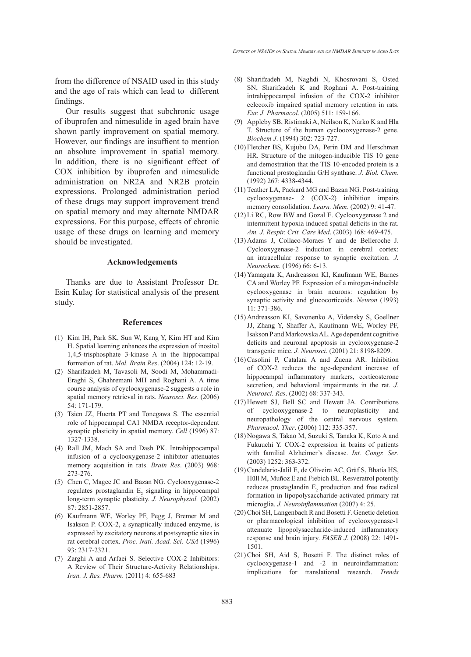from the difference of NSAID used in this study and the age of rats which can lead to different findings.

Our results suggest that subchronic usage of ibuprofen and nimesulide in aged brain have shown partly improvement on spatial memory. However, our findings are insuffient to mention an absolute improvement in spatial memory. In addition, there is no significant effect of COX inhibition by ibuprofen and nimesulide administration on NR2A and NR2B protein expressions. Prolonged administration period of these drugs may support improvement trend on spatial memory and may alternate NMDAR expressions. For this purpose, effects of chronic usage of these drugs on learning and memory should be investigated.

#### **Acknowledgements**

Thanks are due to Assistant Professor Dr. Esin Kulaç for statistical analysis of the present study.

#### **References**

- (1) Kim IH, Park SK, Sun W, Kang Y, Kim HT and Kim H. Spatial learning enhances the expression of inositol 1,4,5-trisphosphate 3-kinase A in the hippocampal formation of rat. *Mol. Brain Res*. (2004) 124: 12-19.
- Sharifzadeh M, Tavasoli M, Soodi M, Mohammadi-(2) Eraghi S, Ghahremani MH and Roghani A. A time course analysis of cyclooxygenase-2 suggests a role in spatial memory retrieval in rats. *Neurosci. Res*. (2006) 54: 171-179.
- (3) Tsien JZ, Huerta PT and Tonegawa S. The essential role of hippocampal CA1 NMDA receptor-dependent synaptic plasticity in spatial memory. *Cell* (1996) 87: 1327-1338.
- (4) Rall JM, Mach SA and Dash PK. Intrahippocampal infusion of a cyclooxygenase-2 inhibitor attenuates memory acquisition in rats. *Brain Res*. (2003) 968: 273-276.
- (5) Chen C, Magee JC and Bazan NG. Cyclooxygenase-2 regulates prostaglandin  $E_2$  signaling in hippocampal long-term synaptic plasticity. *J. Neurophysiol.* (2002) 87: 2851-2857.
- (6) Kaufmann WE, Worley PF, Pegg J, Bremer M and Isakson P. COX-2, a synaptically induced enzyme, is expressed by excitatory neurons at postsynaptic sites in rat cerebral cortex. *Proc. Natl. Acad. Sci*. *USA* (1996) 93: 2317-2321.
- (7) Zarghi A and Arfaei S. Selective COX-2 Inhibitors: A Review of Their Structure-Activity Relationships. *Iran. J. Res. Pharm*. (2011) 4: 655-683
- (8) Sharifzadeh M, Naghdi N, Khosrovani S, Osted SN, Sharifzadeh K and Roghani A. Post-training intrahippocampal infusion of the COX-2 inhibitor celecoxib impaired spatial memory retention in rats. *Eur. J. Pharmacol*. (2005) 511: 159-166.
- Appleby SB, Ristimaki A, Neilson K, Narko K and Hla (9) T. Structure of the human cycloooxygenase-2 gene. *Biochem J*. (1994) 302: 723-727.
- (10) Fletcher BS, Kujubu DA, Perin DM and Herschman HR. Structure of the mitogen-inducible TIS 10 gene and demostration that the TIS 10-encoded protein is a functional prostoglandin G/H synthase. *J. Biol. Chem*. (1992) 267: 4338-4344.
- (11) Teather LA, Packard MG and Bazan NG. Post-training cyclooxygenase- 2 (COX-2) inhibition impairs memory consolidation. *Learn. Mem.* (2002) 9: 41-47.
- (12) Li RC, Row BW and Gozal E. Cyclooxygenase 2 and intermittent hypoxia induced spatial deficits in the rat. *Am. J. Respir. Crit. Care Med*. (2003) 168: 469-475.
- $(13)$  Adams J, Collaco-Moraes Y and de Belleroche J. Cyclooxygenase-2 induction in cerebral cortex: an intracellular response to synaptic excitation. *J. Neurochem.* (1996) 66: 6-13.
- (14) Yamagata K, Andreasson KI, Kaufmann WE, Barnes CA and Worley PF. Expression of a mitogen-inducible cyclooxygenase in brain neurons: regulation by synaptic activity and glucocorticoids. *Neuron* (1993) 11: 371-386.
- (15) Andreasson KI, Savonenko A, Vidensky S, Goellner JJ, Zhang Y, Shaffer A, Kaufmann WE, Worley PF, Isakson P and Markowska AL. Age dependent cognitive deficits and neuronal apoptosis in cyclooxygenase-2 transgenic mice. *J. Neurosci*. (2001) 21: 8198-8209.
- Casolini P, Catalani A and Zuena AR. Inhibition (16) of COX-2 reduces the age-dependent increase of hippocampal inflammatory markers, corticosterone secretion, and behavioral impairments in the rat. *J. Neurosci. Res*. (2002) 68: 337-343.
- $(17)$  Hewett SJ, Bell SC and Hewett JA. Contributions of cyclooxygenase-2 to neuroplasticity and neuropathology of the central nervous system. *Pharmacol. Ther*. (2006) 112: 335-357.
- Nogawa S, Takao M, Suzuki S, Tanaka K, Koto A and (18) Fukuuchi Y. COX-2 expression in brains of patients with familial Alzheimer's disease. *Int. Congr. Ser*. (2003) 1252: 363-372.
- Candelario-Jalil E, de Oliveira AC, Gräf S, Bhatia HS, (19) Hüll M, Muñoz E and Fiebich BL. Resveratrol potently reduces prostaglandin  $E_2$  production and free radical formation in lipopolysaccharide-activated primary rat microglia. *J. Neuroinflammation* (2007) 4: 25.
- (20) Choi SH, Langenbach R and Bosetti F. Genetic deletion or pharmacological inhibition of cyclooxygenase-1 attenuate lipopolysaccharide-induced inflammatory response and brain injury. *FASEB J.* (2008) 22: 1491- 1501.
- $(21)$  Choi SH, Aid S, Bosetti F. The distinct roles of cyclooxygenase-1 and -2 in neuroinflammation: implications for translational research. *Trends*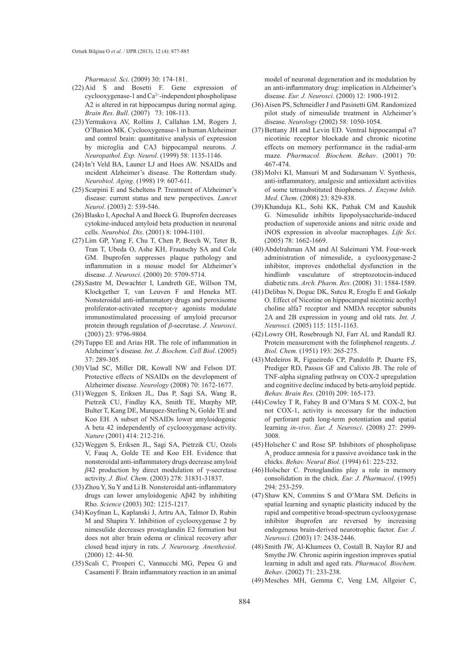*Pharmacol. Sci*. (2009) 30: 174-181.

- $(22)$  Aid S and Bosetti F. Gene expression of  $cyclooxygenase-1$  and  $Ca<sup>2+</sup>$ -independent phospholipase A2 is altered in rat hippocampus during normal aging. *Brain Res. Bull*. (2007) 73: 108-113.
- (23) Yermakova AV, Rollins J, Callahan LM, Rogers J, O'Banion MK. Cyclooxygenase-1 in human Alzheimer and control brain: quantitative analysis of expression by microglia and CA3 hippocampal neurons. *J. Neuropathol. Exp. Neurol*. (1999) 58: 1135-1146.
- (24) In't Veld BA, Launer LJ and Hoes AW. NSAIDs and ıncident Alzheimer's disease. The Rotterdam study. *Neurobiol. Aging*. (1998) 19: 607-611.
- (25) Scarpini E and Scheltens P. Treatment of Alzheimer's disease: current status and new perspectives. *Lancet Neurol*. (2003) 2: 539-546.
- (26) Blasko I, Apochal A and Boeck G. Ibuprofen decreases cytokine-induced amyloid beta production in neuronal cells. *Neurobiol. Dis*. (2001) 8: 1094-1101.
- (27) Lim GP, Yang F, Chu T, Chen P, Beech W, Teter B, Tran T, Ubeda O, Ashe KH, Frautschy SA and Cole GM. Ibuprofen suppresses plaque pathology and inflammation in a mouse model for Alzheimer's disease. *J. Neurosci*. (2000) 20: 5709-5714.
- (28) Sastre M, Dewachter I, Landreth GE, Willson TM, Klockgether T, van Leuven F and Heneka MT. Nonsteroidal anti-inflammatory drugs and peroxisome proliferator-activated receptor-γ agonists modulate immunostimulated processing of amyloid precursor protein through regulation of *β*-secretase. *J. Neurosci*. (2003) 23: 9796-9804.
- (29) Tuppo EE and Arias HR. The role of inflammation in Alzheimer's disease. *Int. J*. *Biochem. Cell Biol*. (2005) 37: 289-305.
- (30) Vlad SC, Miller DR, Kowall NW and Felson DT. Protective effects of NSAIDs on the development of Alzheimer disease. *Neurology* (2008) 70: 1672-1677.
- Weggen S, Eriksen JL, Das P, Sagi SA, Wang R, (31) Pietrzik CU, Findlay KA, Smith TE, Murphy MP, Bulter T, Kang DE, Marquez-Sterling N, Golde TE and Koo EH. A subset of NSAIDs lower amyloidogenic A beta 42 independently of cyclooxygenase activity. *Nature* (2001) 414: 212-216.
- Weggen S, Eriksen JL, Sagi SA, Pietrzik CU, Ozols (32) V, Fauq A, Golde TE and Koo EH. Evidence that nonsteroidal anti-inflammatory drugs decrease amyloid *β*42 production by direct modulation of γ-secretase activity. *J. Biol. Chem*. (2003) 278: 31831-31837.
- $(33)$  Zhou Y, Su Y and Li B. Nonsteroidal anti-inflammatory drugs can lower amyloidogenic Aβ42 by inhibiting Rho. *Science* (2003) 302: 1215-1217.
- (34) Koyfman L, Kaplanski J, Artru AA, Talmor D, Rubin M and Shapira Y. Inhibition of cyclooxygenase 2 by nimesulide decreases prostaglandin E2 formation but does not alter brain edema or clinical recovery after closed head injury in rats. *J. Neurosurg. Anesthesiol*. (2000) 12: 44-50.
- (35) Scali C, Prosperi C, Vannucchi MG, Pepeu G and Casamenti F. Brain inflammatory reaction in an animal

model of neuronal degeneration and its modulation by an anti-inflammatory drug: implication in Alzheimer's disease. *Eur. J. Neurosci*. (2000) 12: 1900-1912.

- (36) Aisen PS, Schmeidler J and Pasinetti GM. Randomized pilot study of nimesulide treatment in Alzheimer's disease. *Neurology* (2002) 58: 1050-1054.
- Bettany JH and Levin ED. Ventral hippocampal *α*7 (37) nicotinic receptor blockade and chronic nicotine effects on memory performance in the radial-arm maze. *Pharmacol. Biochem. Behav*. (2001) 70: 467-474.
- (38) Molvi KI, Mansuri M and Sudarsanam V. Synthesis, anti-inflammatory, analgesic and antioxidant activities of some tetrasubstituted thiophenes. *J. Enzyme Inhib. Med. Chem*. (2008) 23: 829-838.
- (39) Khanduja KL, Sohi KK, Pathak CM and Kaushik G. Nimesulide inhibits lipopolysaccharide-induced production of superoxide anions and nitric oxide and iNOS expression in alveolar macrophages. *Life Sci*. (2005) 78: 1662-1669.
- Abdelrahman AM and Al Suleimani YM. Four-week (40) administration of nimesulide, a cyclooxygenase-2 inhibitor, improves endothelial dysfunction in the hindlimb vasculature of streptozotocin-induced diabetic rats. *Arch. Pharm. Res*. (2008) 31: 1584-1589.
- $(41)$  Delibas N, Doguc DK, Sutcu R, Eroglu E and Gokalp O. Effect of Nicotine on hippocampal nicotinic acethyl choline alfa7 receptor and NMDA receptor subunits 2A and 2B expression in young and old rats. *Int. J. Neurosci.* (2005) 115: 1151-1163.
- Lowry OH, Rosebrough NJ, Farr AL and Randall RJ. (42) Protein measurement with the folinphenol reagents. *J. Biol. Chem.* (1951) 193: 265-275.
- Medeiros R, Figueiredo CP, Pandolfo P, Duarte FS, (43) Prediger RD, Passos GF and Calixto JB. The role of TNF-alpha signaling pathway on COX-2 upregulation and cognitive decline induced by beta-amyloid peptide. *Behav. Brain Res*. (2010) 209: 165-173.
- $(44)$  Cowley T R, Fahey B and O'Mara S M. COX-2, but not COX-1, activity is necessary for the induction of perforant path long-term potentiation and spatial learning *in-vivo*. *Eur. J. Neurosci*. (2008) 27: 2999- 3008.
- (45) Holscher C and Rose SP. Inhibitors of phospholipase  $A<sub>2</sub>$  produce amnesia for a passive avoidance task in the chicks. *Behav. Neural Biol*. (1994) 61: 225-232.
- (46) Holscher C. Protoglandins play a role in memory consolidation in the chick. *Eur. J. Pharmacol*. (1995) 294: 253-259.
- (47) Shaw KN, Commins S and O'Mara SM. Deficits in spatial learning and synaptic plasticity induced by the rapid and competitive broad-spectrum cyclooxygenase inhibitor ibuprofen are reversed by increasing endogenous brain-derived neurotrophic factor. *Eur. J. Neurosci*. (2003) 17: 2438-2446.
- (48) Smith JW, Al-Khamees O, Costall B, Naylor RJ and Smythe JW. Chronic aspirin ingestion improves spatial learning in adult and aged rats. *Pharmacol. Biochem. Behav*. (2002) 71: 233-238.
- (49) Mesches MH, Gemma C, Veng LM, Allgeier C,